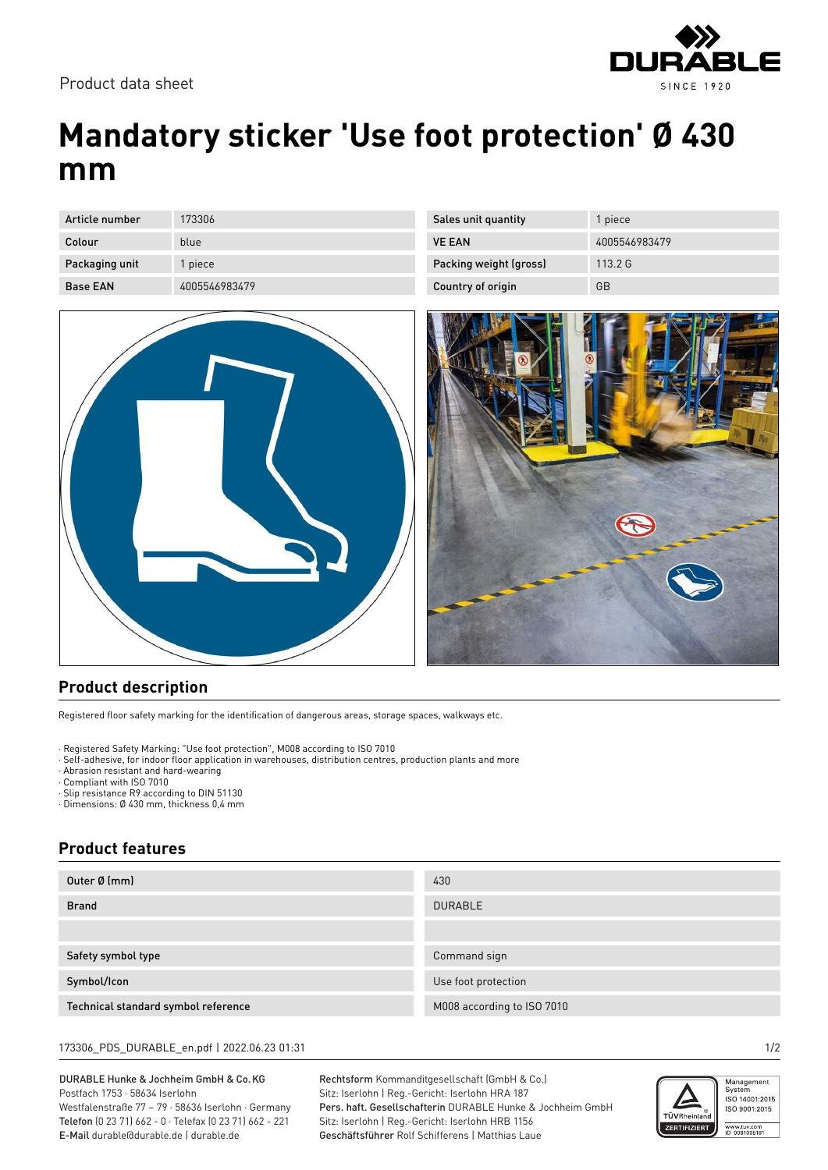

## **Mandatory sticker 'Use foot protection' Ø 430 mm**

Sales unit quantity **1** piece

Packing weight (gross) 113.2 G Country of origin GB

VE EAN 4005546983479

| Article number  | 173306        |
|-----------------|---------------|
|                 |               |
| Colour          | blue          |
|                 |               |
|                 |               |
| Packaging unit  | 1 piece       |
|                 |               |
| <b>Base EAN</b> | 4005546983479 |
|                 |               |

## **Product description**

Registered floor safety marking for the identification of dangerous areas, storage spaces, walkways etc.

· Registered Safety Marking: "Use foot protection", M008 according to ISO 7010

· Self-adhesive, for indoor floor application in warehouses, distribution centres, production plants and more

· Abrasion resistant and hard-wearing

· Compliant with ISO 7010

· Slip resistance R9 according to DIN 51130

· Dimensions: Ø 430 mm, thickness 0,4 mm

## **Product features**

| Outer Ø (mm)                        | 430                        |
|-------------------------------------|----------------------------|
| <b>Brand</b>                        | <b>DURABLE</b>             |
|                                     |                            |
| Safety symbol type                  | Command sign               |
| Symbol/Icon                         | Use foot protection        |
| Technical standard symbol reference | M008 according to ISO 7010 |

173306\_PDS\_DURABLE\_en.pdf | 2022.06.23 01:31 1/2

DURABLE Hunke & Jochheim GmbH & Co.KG Postfach 1753 · 58634 Iserlohn Westfalenstraße 77 – 79 · 58636 Iserlohn · Germany Telefon (0 23 71) 662 - 0 · Telefax (0 23 71) 662 - 221 E-Mail durable@durable.de | durable.de

Rechtsform Kommanditgesellschaft (GmbH & Co.) Sitz: Iserlohn | Reg.-Gericht: Iserlohn HRA 187 Pers. haft. Gesellschafterin DURABLE Hunke & Jochheim GmbH Sitz: Iserlohn | Reg.-Gericht: Iserlohn HRB 1156 Geschäftsführer Rolf Schifferens | Matthias Laue